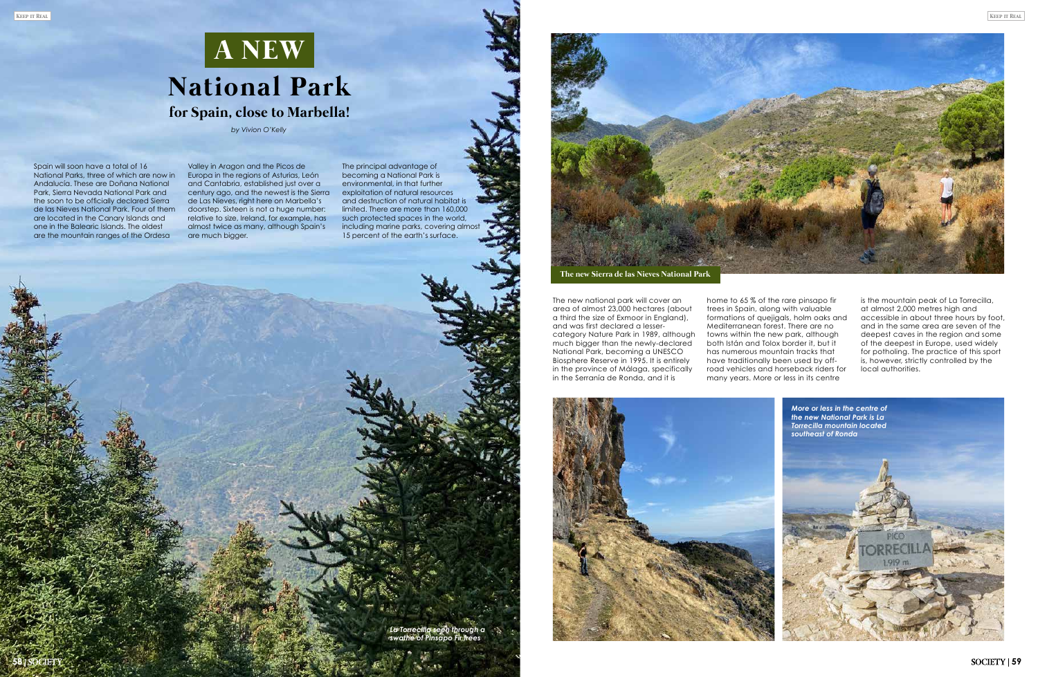*La Torrecilla seen through a swathe of Pinsapo Fir trees*

**58**

*by Vivion O'Kelly* 

Spain will soon have a total of 16 National Parks, three of which are now in Andalucía. These are Doñana National Park, Sierra Nevada National Park and the soon to be officially declared Sierra de las Nieves National Park. Four of them are located in the Canary Islands and one in the Balearic Islands. The oldest are the mountain ranges of the Ordesa

## **National Park for Spain, close to Marbella! A NEW**

The new national park will cover an area of almost 23,000 hectares (about a third the size of Exmoor in England), and was first declared a lessercategory Nature Park in 1989, although much bigger than the newly-declared National Park, becoming a UNESCO Biosphere Reserve in 1995. It is entirely in the province of Málaga, specifically in the Serranía de Ronda, and it is

Valley in Aragon and the Picos de Europa in the regions of Asturias, León and Cantabria, established just over a century ago, and the newest is the Sierra de Las Nieves, right here on Marbella's doorstep. Sixteen is not a huge number: relative to size, Ireland, for example, has almost twice as many, although Spain's are much bigger.

The principal advantage of becoming a National Park is environmental, in that further exploitation of natural resources and destruction of natural habitat is limited. There are more than 160,000 such protected spaces in the world, including marine parks, covering almost 15 percent of the earth's surface.



home to 65 % of the rare pinsapo fir trees in Spain, along with valuable formations of quejigals, holm oaks and Mediterranean forest. There are no towns within the new park, although both Istán and Tolox border it, but it has numerous mountain tracks that have traditionally been used by offroad vehicles and horseback riders for many years. More or less in its centre

is the mountain peak of La Torrecilla, at almost 2,000 metres high and accessible in about three hours by foot, and in the same area are seven of the deepest caves in the region and some of the deepest in Europe, used widely for potholing. The practice of this sport is, however, strictly controlled by the local authorities.